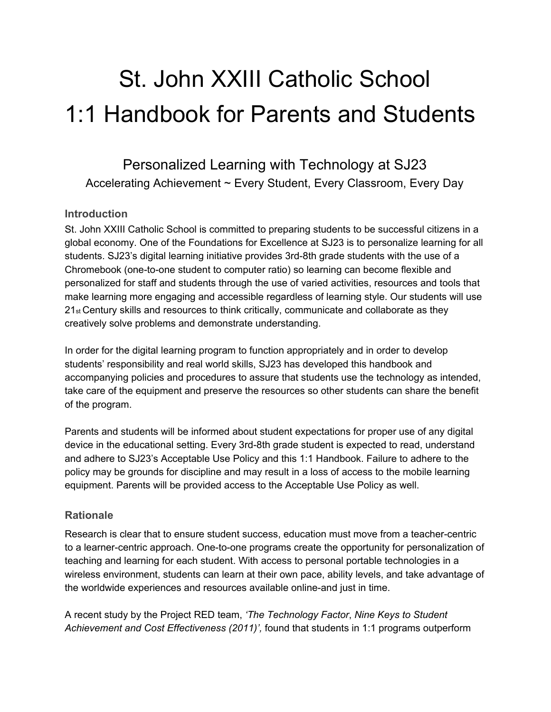# St. John XXIII Catholic School 1:1 Handbook for Parents and Students

Personalized Learning with Technology at SJ23 Accelerating Achievement ~ Every Student, Every Classroom, Every Day

## **Introduction**

St. John XXIII Catholic School is committed to preparing students to be successful citizens in a global economy. One of the Foundations for Excellence at SJ23 is to personalize learning for all students. SJ23's digital learning initiative provides 3rd-8th grade students with the use of a Chromebook (one-to-one student to computer ratio) so learning can become flexible and personalized for staff and students through the use of varied activities, resources and tools that make learning more engaging and accessible regardless of learning style. Our students will use 21<sub>st</sub> Century skills and resources to think critically, communicate and collaborate as they creatively solve problems and demonstrate understanding.

In order for the digital learning program to function appropriately and in order to develop students' responsibility and real world skills, SJ23 has developed this handbook and accompanying policies and procedures to assure that students use the technology as intended, take care of the equipment and preserve the resources so other students can share the benefit of the program.

Parents and students will be informed about student expectations for proper use of any digital device in the educational setting. Every 3rd-8th grade student is expected to read, understand and adhere to SJ23's Acceptable Use Policy and this 1:1 Handbook. Failure to adhere to the policy may be grounds for discipline and may result in a loss of access to the mobile learning equipment. Parents will be provided access to the Acceptable Use Policy as well.

#### **Rationale**

Research is clear that to ensure student success, education must move from a teacher-centric to a learner-centric approach. One-to-one programs create the opportunity for personalization of teaching and learning for each student. With access to personal portable technologies in a wireless environment, students can learn at their own pace, ability levels, and take advantage of the worldwide experiences and resources available online-and just in time.

A recent study by the Project RED team, *'The Technology Factor*, *Nine Keys to Student Achievement and Cost Effectiveness (2011)',* found that students in 1:1 programs outperform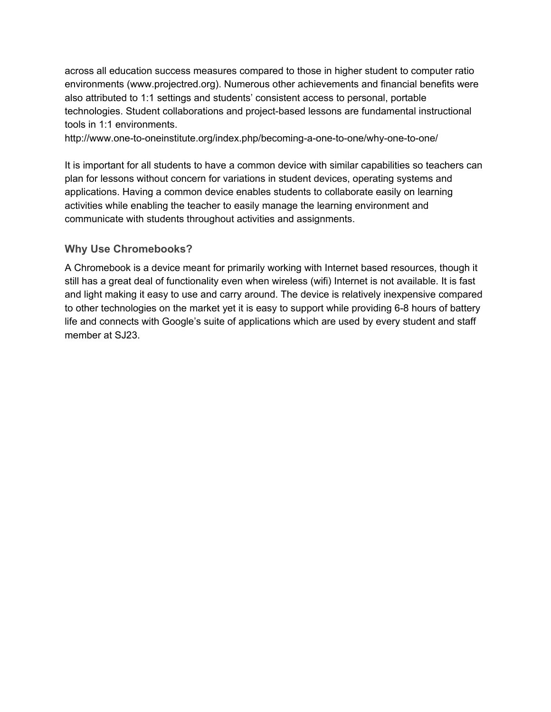across all education success measures compared to those in higher student to computer ratio environments (www.projectred.org). Numerous other achievements and financial benefits were also attributed to 1:1 settings and students' consistent access to personal, portable technologies. Student collaborations and project-based lessons are fundamental instructional tools in 1:1 environments.

http://www.one-to-oneinstitute.org/index.php/becoming-a-one-to-one/why-one-to-one/

It is important for all students to have a common device with similar capabilities so teachers can plan for lessons without concern for variations in student devices, operating systems and applications. Having a common device enables students to collaborate easily on learning activities while enabling the teacher to easily manage the learning environment and communicate with students throughout activities and assignments.

## **Why Use Chromebooks?**

A Chromebook is a device meant for primarily working with Internet based resources, though it still has a great deal of functionality even when wireless (wifi) Internet is not available. It is fast and light making it easy to use and carry around. The device is relatively inexpensive compared to other technologies on the market yet it is easy to support while providing 6-8 hours of battery life and connects with Google's suite of applications which are used by every student and staff member at SJ23.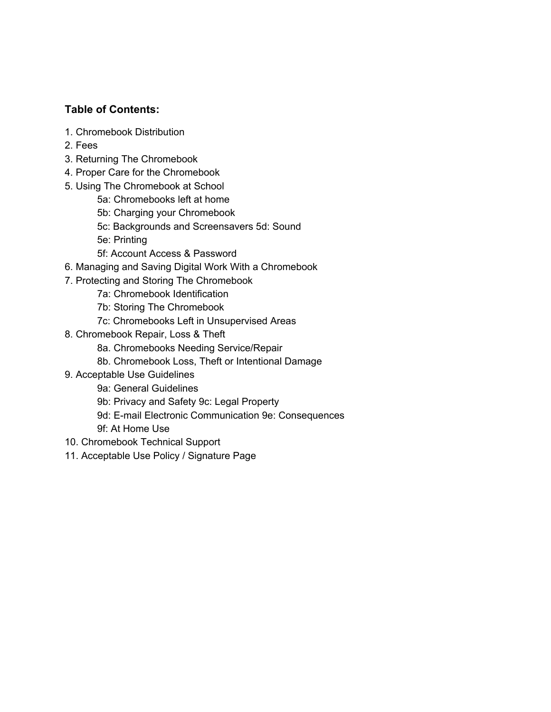# **Table of Contents:**

- 1. Chromebook Distribution
- 2. Fees
- 3. Returning The Chromebook
- 4. Proper Care for the Chromebook
- 5. Using The Chromebook at School
	- 5a: Chromebooks left at home
	- 5b: Charging your Chromebook
	- 5c: Backgrounds and Screensavers 5d: Sound
	- 5e: Printing
	- 5f: Account Access & Password
- 6. Managing and Saving Digital Work With a Chromebook
- 7. Protecting and Storing The Chromebook
	- 7a: Chromebook Identification
	- 7b: Storing The Chromebook
	- 7c: Chromebooks Left in Unsupervised Areas
- 8. Chromebook Repair, Loss & Theft
	- 8a. Chromebooks Needing Service/Repair
	- 8b. Chromebook Loss, Theft or Intentional Damage
- 9. Acceptable Use Guidelines
	- 9a: General Guidelines
	- 9b: Privacy and Safety 9c: Legal Property
	- 9d: E-mail Electronic Communication 9e: Consequences
	- 9f: At Home Use
- 10. Chromebook Technical Support
- 11. Acceptable Use Policy / Signature Page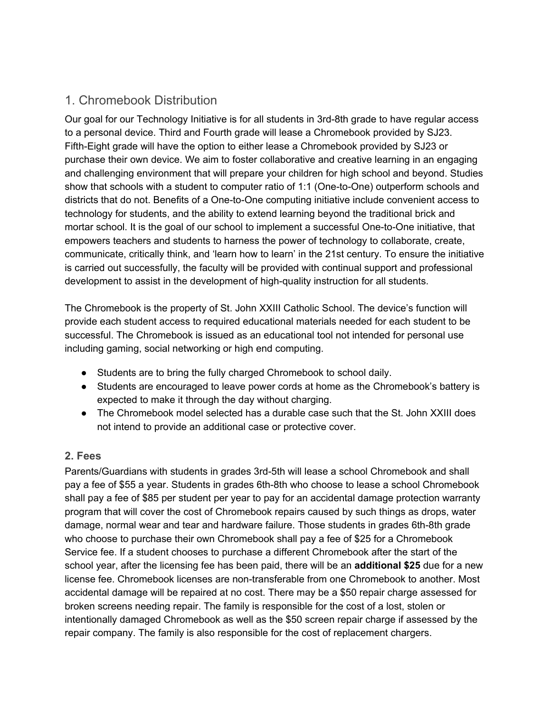# 1. Chromebook Distribution

Our goal for our Technology Initiative is for all students in 3rd-8th grade to have regular access to a personal device. Third and Fourth grade will lease a Chromebook provided by SJ23. Fifth-Eight grade will have the option to either lease a Chromebook provided by SJ23 or purchase their own device. We aim to foster collaborative and creative learning in an engaging and challenging environment that will prepare your children for high school and beyond. Studies show that schools with a student to computer ratio of 1:1 (One-to-One) outperform schools and districts that do not. Benefits of a One-to-One computing initiative include convenient access to technology for students, and the ability to extend learning beyond the traditional brick and mortar school. It is the goal of our school to implement a successful One-to-One initiative, that empowers teachers and students to harness the power of technology to collaborate, create, communicate, critically think, and 'learn how to learn' in the 21st century. To ensure the initiative is carried out successfully, the faculty will be provided with continual support and professional development to assist in the development of high-quality instruction for all students.

The Chromebook is the property of St. John XXIII Catholic School. The device's function will provide each student access to required educational materials needed for each student to be successful. The Chromebook is issued as an educational tool not intended for personal use including gaming, social networking or high end computing.

- Students are to bring the fully charged Chromebook to school daily.
- Students are encouraged to leave power cords at home as the Chromebook's battery is expected to make it through the day without charging.
- The Chromebook model selected has a durable case such that the St. John XXIII does not intend to provide an additional case or protective cover.

# **2. Fees**

Parents/Guardians with students in grades 3rd-5th will lease a school Chromebook and shall pay a fee of \$55 a year. Students in grades 6th-8th who choose to lease a school Chromebook shall pay a fee of \$85 per student per year to pay for an accidental damage protection warranty program that will cover the cost of Chromebook repairs caused by such things as drops, water damage, normal wear and tear and hardware failure. Those students in grades 6th-8th grade who choose to purchase their own Chromebook shall pay a fee of \$25 for a Chromebook Service fee. If a student chooses to purchase a different Chromebook after the start of the school year, after the licensing fee has been paid, there will be an **additional \$25** due for a new license fee. Chromebook licenses are non-transferable from one Chromebook to another. Most accidental damage will be repaired at no cost. There may be a \$50 repair charge assessed for broken screens needing repair. The family is responsible for the cost of a lost, stolen or intentionally damaged Chromebook as well as the \$50 screen repair charge if assessed by the repair company. The family is also responsible for the cost of replacement chargers.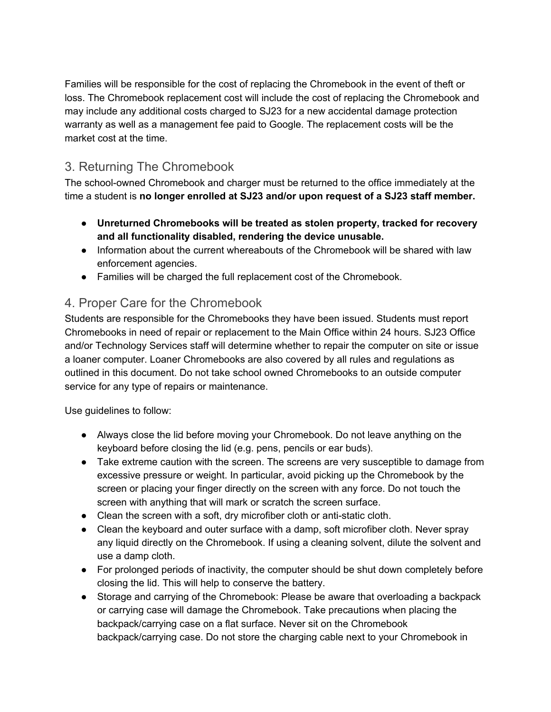Families will be responsible for the cost of replacing the Chromebook in the event of theft or loss. The Chromebook replacement cost will include the cost of replacing the Chromebook and may include any additional costs charged to SJ23 for a new accidental damage protection warranty as well as a management fee paid to Google. The replacement costs will be the market cost at the time.

# 3. Returning The Chromebook

The school-owned Chromebook and charger must be returned to the office immediately at the time a student is **no longer enrolled at SJ23 and/or upon request of a SJ23 staff member.**

- **● Unreturned Chromebooks will be treated as stolen property, tracked for recovery and all functionality disabled, rendering the device unusable.**
- Information about the current whereabouts of the Chromebook will be shared with law enforcement agencies.
- Families will be charged the full replacement cost of the Chromebook.

# 4. Proper Care for the Chromebook

Students are responsible for the Chromebooks they have been issued. Students must report Chromebooks in need of repair or replacement to the Main Office within 24 hours. SJ23 Office and/or Technology Services staff will determine whether to repair the computer on site or issue a loaner computer. Loaner Chromebooks are also covered by all rules and regulations as outlined in this document. Do not take school owned Chromebooks to an outside computer service for any type of repairs or maintenance.

Use guidelines to follow:

- Always close the lid before moving your Chromebook. Do not leave anything on the keyboard before closing the lid (e.g. pens, pencils or ear buds).
- Take extreme caution with the screen. The screens are very susceptible to damage from excessive pressure or weight. In particular, avoid picking up the Chromebook by the screen or placing your finger directly on the screen with any force. Do not touch the screen with anything that will mark or scratch the screen surface.
- Clean the screen with a soft, dry microfiber cloth or anti-static cloth.
- Clean the keyboard and outer surface with a damp, soft microfiber cloth. Never spray any liquid directly on the Chromebook. If using a cleaning solvent, dilute the solvent and use a damp cloth.
- For prolonged periods of inactivity, the computer should be shut down completely before closing the lid. This will help to conserve the battery.
- Storage and carrying of the Chromebook: Please be aware that overloading a backpack or carrying case will damage the Chromebook. Take precautions when placing the backpack/carrying case on a flat surface. Never sit on the Chromebook backpack/carrying case. Do not store the charging cable next to your Chromebook in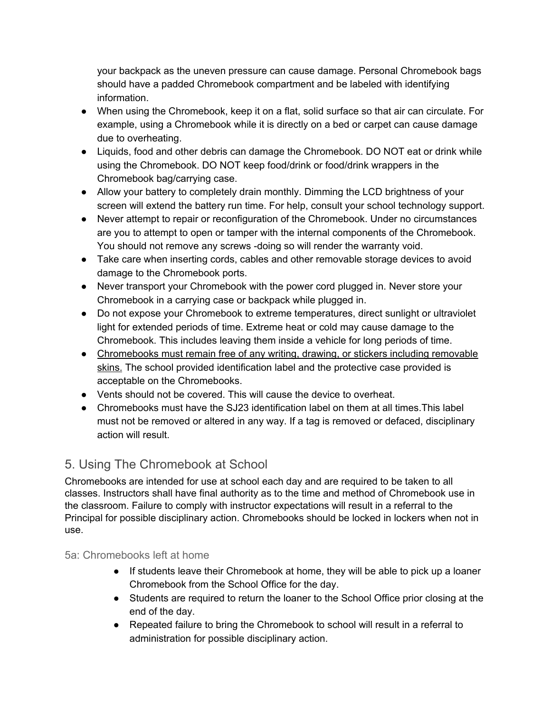your backpack as the uneven pressure can cause damage. Personal Chromebook bags should have a padded Chromebook compartment and be labeled with identifying information.

- When using the Chromebook, keep it on a flat, solid surface so that air can circulate. For example, using a Chromebook while it is directly on a bed or carpet can cause damage due to overheating.
- Liquids, food and other debris can damage the Chromebook. DO NOT eat or drink while using the Chromebook. DO NOT keep food/drink or food/drink wrappers in the Chromebook bag/carrying case.
- Allow your battery to completely drain monthly. Dimming the LCD brightness of your screen will extend the battery run time. For help, consult your school technology support.
- Never attempt to repair or reconfiguration of the Chromebook. Under no circumstances are you to attempt to open or tamper with the internal components of the Chromebook. You should not remove any screws -doing so will render the warranty void.
- Take care when inserting cords, cables and other removable storage devices to avoid damage to the Chromebook ports.
- Never transport your Chromebook with the power cord plugged in. Never store your Chromebook in a carrying case or backpack while plugged in.
- Do not expose your Chromebook to extreme temperatures, direct sunlight or ultraviolet light for extended periods of time. Extreme heat or cold may cause damage to the Chromebook. This includes leaving them inside a vehicle for long periods of time.
- Chromebooks must remain free of any writing, drawing, or stickers including removable skins. The school provided identification label and the protective case provided is acceptable on the Chromebooks.
- Vents should not be covered. This will cause the device to overheat.
- Chromebooks must have the SJ23 identification label on them at all times. This label must not be removed or altered in any way. If a tag is removed or defaced, disciplinary action will result.

# 5. Using The Chromebook at School

Chromebooks are intended for use at school each day and are required to be taken to all classes. Instructors shall have final authority as to the time and method of Chromebook use in the classroom. Failure to comply with instructor expectations will result in a referral to the Principal for possible disciplinary action. Chromebooks should be locked in lockers when not in use.

# 5a: Chromebooks left at home

- If students leave their Chromebook at home, they will be able to pick up a loaner Chromebook from the School Office for the day.
- Students are required to return the loaner to the School Office prior closing at the end of the day.
- Repeated failure to bring the Chromebook to school will result in a referral to administration for possible disciplinary action.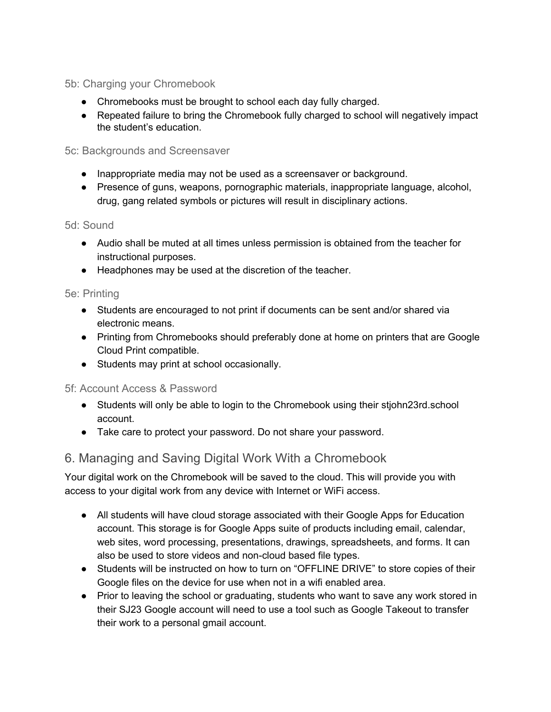# 5b: Charging your Chromebook

- Chromebooks must be brought to school each day fully charged.
- Repeated failure to bring the Chromebook fully charged to school will negatively impact the student's education.

#### 5c: Backgrounds and Screensaver

- Inappropriate media may not be used as a screensaver or background.
- Presence of guns, weapons, pornographic materials, inappropriate language, alcohol, drug, gang related symbols or pictures will result in disciplinary actions.

#### 5d: Sound

- Audio shall be muted at all times unless permission is obtained from the teacher for instructional purposes.
- Headphones may be used at the discretion of the teacher.

#### 5e: Printing

- Students are encouraged to not print if documents can be sent and/or shared via electronic means.
- Printing from Chromebooks should preferably done at home on printers that are Google Cloud Print compatible.
- Students may print at school occasionally.

#### 5f: Account Access & Password

- Students will only be able to login to the Chromebook using their stjohn23rd.school account.
- Take care to protect your password. Do not share your password.

# 6. Managing and Saving Digital Work With a Chromebook

Your digital work on the Chromebook will be saved to the cloud. This will provide you with access to your digital work from any device with Internet or WiFi access.

- All students will have cloud storage associated with their Google Apps for Education account. This storage is for Google Apps suite of products including email, calendar, web sites, word processing, presentations, drawings, spreadsheets, and forms. It can also be used to store videos and non-cloud based file types.
- Students will be instructed on how to turn on "OFFLINE DRIVE" to store copies of their Google files on the device for use when not in a wifi enabled area.
- Prior to leaving the school or graduating, students who want to save any work stored in their SJ23 Google account will need to use a tool such as Google Takeout to transfer their work to a personal gmail account.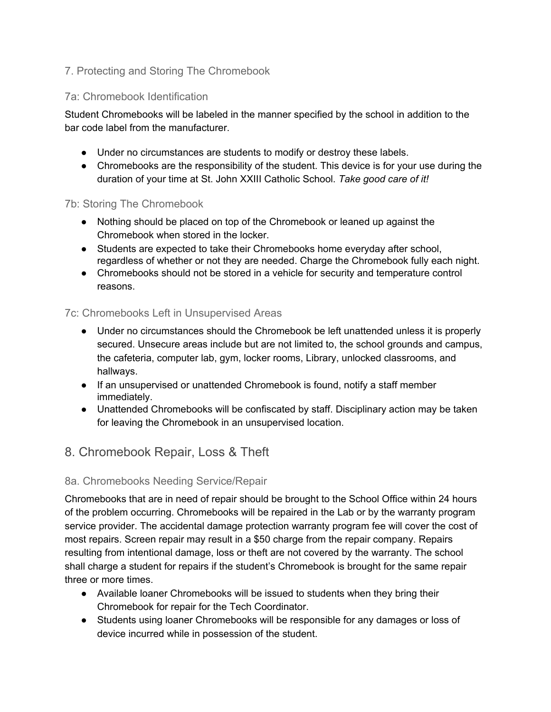# 7. Protecting and Storing The Chromebook

## 7a: Chromebook Identification

Student Chromebooks will be labeled in the manner specified by the school in addition to the bar code label from the manufacturer.

- Under no circumstances are students to modify or destroy these labels.
- Chromebooks are the responsibility of the student. This device is for your use during the duration of your time at St. John XXIII Catholic School. *Take good care of it!*

#### 7b: Storing The Chromebook

- Nothing should be placed on top of the Chromebook or leaned up against the Chromebook when stored in the locker.
- Students are expected to take their Chromebooks home everyday after school, regardless of whether or not they are needed. Charge the Chromebook fully each night.
- Chromebooks should not be stored in a vehicle for security and temperature control reasons.

## 7c: Chromebooks Left in Unsupervised Areas

- Under no circumstances should the Chromebook be left unattended unless it is properly secured. Unsecure areas include but are not limited to, the school grounds and campus, the cafeteria, computer lab, gym, locker rooms, Library, unlocked classrooms, and hallways.
- If an unsupervised or unattended Chromebook is found, notify a staff member immediately.
- Unattended Chromebooks will be confiscated by staff. Disciplinary action may be taken for leaving the Chromebook in an unsupervised location.

# 8. Chromebook Repair, Loss & Theft

#### 8a. Chromebooks Needing Service/Repair

Chromebooks that are in need of repair should be brought to the School Office within 24 hours of the problem occurring. Chromebooks will be repaired in the Lab or by the warranty program service provider. The accidental damage protection warranty program fee will cover the cost of most repairs. Screen repair may result in a \$50 charge from the repair company. Repairs resulting from intentional damage, loss or theft are not covered by the warranty. The school shall charge a student for repairs if the student's Chromebook is brought for the same repair three or more times.

- Available loaner Chromebooks will be issued to students when they bring their Chromebook for repair for the Tech Coordinator.
- Students using loaner Chromebooks will be responsible for any damages or loss of device incurred while in possession of the student.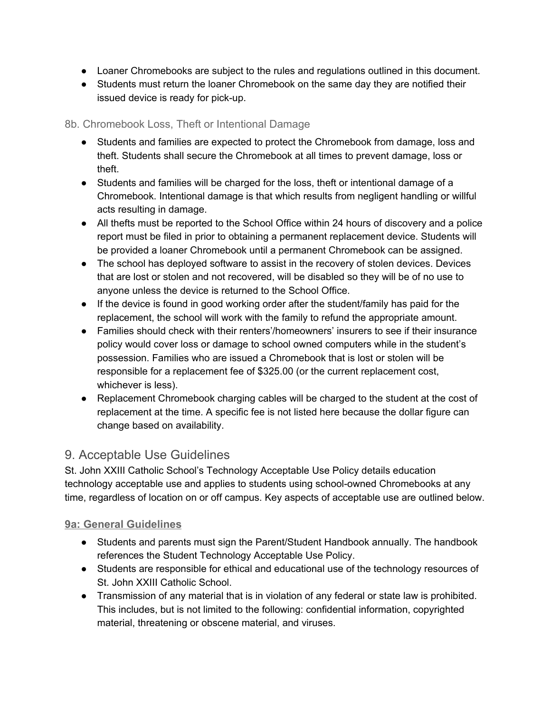- Loaner Chromebooks are subject to the rules and regulations outlined in this document.
- Students must return the loaner Chromebook on the same day they are notified their issued device is ready for pick-up.

## 8b. Chromebook Loss, Theft or Intentional Damage

- Students and families are expected to protect the Chromebook from damage, loss and theft. Students shall secure the Chromebook at all times to prevent damage, loss or theft.
- Students and families will be charged for the loss, theft or intentional damage of a Chromebook. Intentional damage is that which results from negligent handling or willful acts resulting in damage.
- All thefts must be reported to the School Office within 24 hours of discovery and a police report must be filed in prior to obtaining a permanent replacement device. Students will be provided a loaner Chromebook until a permanent Chromebook can be assigned.
- The school has deployed software to assist in the recovery of stolen devices. Devices that are lost or stolen and not recovered, will be disabled so they will be of no use to anyone unless the device is returned to the School Office.
- If the device is found in good working order after the student/family has paid for the replacement, the school will work with the family to refund the appropriate amount.
- Families should check with their renters'/homeowners' insurers to see if their insurance policy would cover loss or damage to school owned computers while in the student's possession. Families who are issued a Chromebook that is lost or stolen will be responsible for a replacement fee of \$325.00 (or the current replacement cost, whichever is less).
- Replacement Chromebook charging cables will be charged to the student at the cost of replacement at the time. A specific fee is not listed here because the dollar figure can change based on availability.

# 9. Acceptable Use Guidelines

St. John XXIII Catholic School's Technology Acceptable Use Policy details education technology acceptable use and applies to students using school-owned Chromebooks at any time, regardless of location on or off campus. Key aspects of acceptable use are outlined below.

# **9a: General Guidelines**

- Students and parents must sign the Parent/Student Handbook annually. The handbook references the Student Technology Acceptable Use Policy.
- Students are responsible for ethical and educational use of the technology resources of St. John XXIII Catholic School.
- Transmission of any material that is in violation of any federal or state law is prohibited. This includes, but is not limited to the following: confidential information, copyrighted material, threatening or obscene material, and viruses.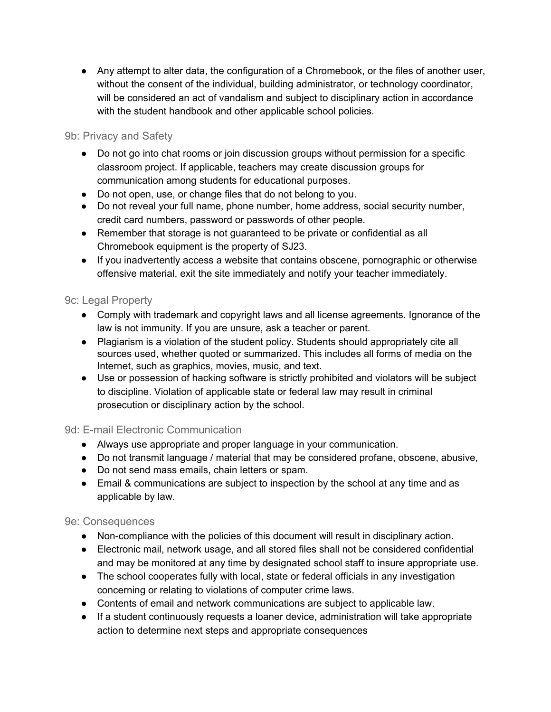● Any attempt to alter data, the configuration of a Chromebook, or the files of another user, without the consent of the individual, building administrator, or technology coordinator, will be considered an act of vandalism and subject to disciplinary action in accordance with the student handbook and other applicable school policies.

# 9b: Privacy and Safety

- Do not go into chat rooms or join discussion groups without permission for a specific classroom project. If applicable, teachers may create discussion groups for communication among students for educational purposes.
- Do not open, use, or change files that do not belong to you.
- Do not reveal your full name, phone number, home address, social security number, credit card numbers, password or passwords of other people.
- Remember that storage is not guaranteed to be private or confidential as all Chromebook equipment is the property of SJ23.
- If you inadvertently access a website that contains obscene, pornographic or otherwise offensive material, exit the site immediately and notify your teacher immediately.

## 9c: Legal Property

- Comply with trademark and copyright laws and all license agreements. Ignorance of the law is not immunity. If you are unsure, ask a teacher or parent.
- Plagiarism is a violation of the student policy. Students should appropriately cite all sources used, whether quoted or summarized. This includes all forms of media on the Internet, such as graphics, movies, music, and text.
- Use or possession of hacking software is strictly prohibited and violators will be subject to discipline. Violation of applicable state or federal law may result in criminal prosecution or disciplinary action by the school.

#### 9d: E-mail Electronic Communication

- Always use appropriate and proper language in your communication.
- Do not transmit language / material that may be considered profane, obscene, abusive,
- Do not send mass emails, chain letters or spam.
- Email & communications are subject to inspection by the school at any time and as applicable by law.

#### 9e: Consequences

- Non-compliance with the policies of this document will result in disciplinary action.
- Electronic mail, network usage, and all stored files shall not be considered confidential and may be monitored at any time by designated school staff to insure appropriate use.
- The school cooperates fully with local, state or federal officials in any investigation concerning or relating to violations of computer crime laws.
- Contents of email and network communications are subject to applicable law.
- If a student continuously requests a loaner device, administration will take appropriate action to determine next steps and appropriate consequences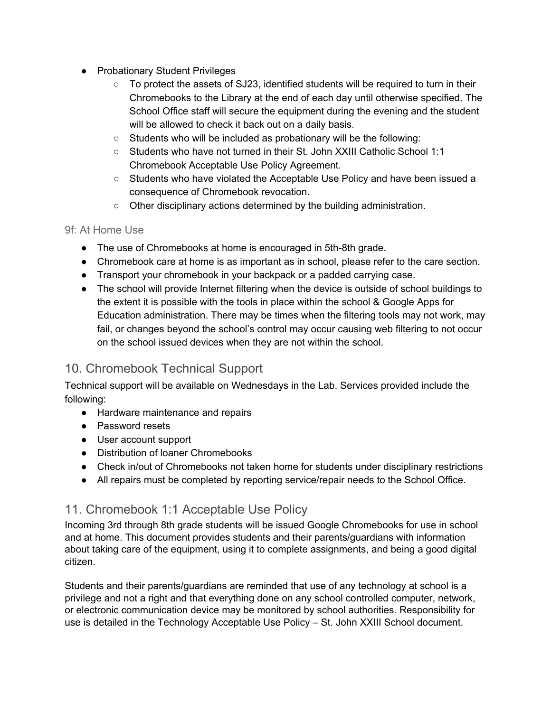- Probationary Student Privileges
	- To protect the assets of SJ23, identified students will be required to turn in their Chromebooks to the Library at the end of each day until otherwise specified. The School Office staff will secure the equipment during the evening and the student will be allowed to check it back out on a daily basis.
	- Students who will be included as probationary will be the following:
	- Students who have not turned in their St. John XXIII Catholic School 1:1 Chromebook Acceptable Use Policy Agreement.
	- Students who have violated the Acceptable Use Policy and have been issued a consequence of Chromebook revocation.
	- Other disciplinary actions determined by the building administration.

## 9f: At Home Use

- The use of Chromebooks at home is encouraged in 5th-8th grade.
- Chromebook care at home is as important as in school, please refer to the care section.
- Transport your chromebook in your backpack or a padded carrying case.
- The school will provide Internet filtering when the device is outside of school buildings to the extent it is possible with the tools in place within the school & Google Apps for Education administration. There may be times when the filtering tools may not work, may fail, or changes beyond the school's control may occur causing web filtering to not occur on the school issued devices when they are not within the school.

# 10. Chromebook Technical Support

Technical support will be available on Wednesdays in the Lab. Services provided include the following:

- Hardware maintenance and repairs
- Password resets
- User account support
- Distribution of loaner Chromebooks
- Check in/out of Chromebooks not taken home for students under disciplinary restrictions
- All repairs must be completed by reporting service/repair needs to the School Office.

# 11. Chromebook 1:1 Acceptable Use Policy

Incoming 3rd through 8th grade students will be issued Google Chromebooks for use in school and at home. This document provides students and their parents/guardians with information about taking care of the equipment, using it to complete assignments, and being a good digital citizen.

Students and their parents/guardians are reminded that use of any technology at school is a privilege and not a right and that everything done on any school controlled computer, network, or electronic communication device may be monitored by school authorities. Responsibility for use is detailed in the Technology Acceptable Use Policy – St. John XXIII School document.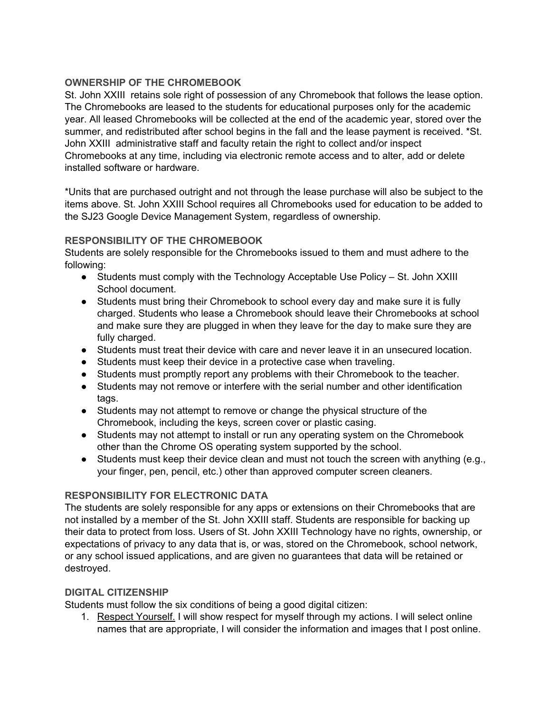#### **OWNERSHIP OF THE CHROMEBOOK**

St. John XXIII retains sole right of possession of any Chromebook that follows the lease option. The Chromebooks are leased to the students for educational purposes only for the academic year. All leased Chromebooks will be collected at the end of the academic year, stored over the summer, and redistributed after school begins in the fall and the lease payment is received. \*St. John XXIII administrative staff and faculty retain the right to collect and/or inspect Chromebooks at any time, including via electronic remote access and to alter, add or delete installed software or hardware.

\*Units that are purchased outright and not through the lease purchase will also be subject to the items above. St. John XXIII School requires all Chromebooks used for education to be added to the SJ23 Google Device Management System, regardless of ownership.

#### **RESPONSIBILITY OF THE CHROMEBOOK**

Students are solely responsible for the Chromebooks issued to them and must adhere to the following:

- Students must comply with the Technology Acceptable Use Policy St. John XXIII School document.
- Students must bring their Chromebook to school every day and make sure it is fully charged. Students who lease a Chromebook should leave their Chromebooks at school and make sure they are plugged in when they leave for the day to make sure they are fully charged.
- Students must treat their device with care and never leave it in an unsecured location.
- Students must keep their device in a protective case when traveling.
- Students must promptly report any problems with their Chromebook to the teacher.
- Students may not remove or interfere with the serial number and other identification tags.
- Students may not attempt to remove or change the physical structure of the Chromebook, including the keys, screen cover or plastic casing.
- Students may not attempt to install or run any operating system on the Chromebook other than the Chrome OS operating system supported by the school.
- Students must keep their device clean and must not touch the screen with anything (e.g., your finger, pen, pencil, etc.) other than approved computer screen cleaners.

#### **RESPONSIBILITY FOR ELECTRONIC DATA**

The students are solely responsible for any apps or extensions on their Chromebooks that are not installed by a member of the St. John XXIII staff. Students are responsible for backing up their data to protect from loss. Users of St. John XXIII Technology have no rights, ownership, or expectations of privacy to any data that is, or was, stored on the Chromebook, school network, or any school issued applications, and are given no guarantees that data will be retained or destroyed.

#### **DIGITAL CITIZENSHIP**

Students must follow the six conditions of being a good digital citizen:

1. Respect Yourself. I will show respect for myself through my actions. I will select online names that are appropriate, I will consider the information and images that I post online.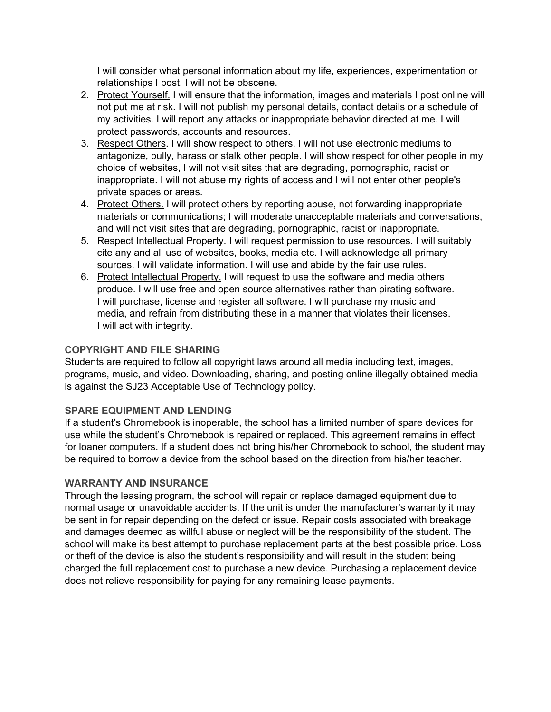I will consider what personal information about my life, experiences, experimentation or relationships I post. I will not be obscene.

- 2. Protect Yourself. I will ensure that the information, images and materials I post online will not put me at risk. I will not publish my personal details, contact details or a schedule of my activities. I will report any attacks or inappropriate behavior directed at me. I will protect passwords, accounts and resources.
- 3. Respect Others. I will show respect to others. I will not use electronic mediums to antagonize, bully, harass or stalk other people. I will show respect for other people in my choice of websites, I will not visit sites that are degrading, pornographic, racist or inappropriate. I will not abuse my rights of access and I will not enter other people's private spaces or areas.
- 4. Protect Others. I will protect others by reporting abuse, not forwarding inappropriate materials or communications; I will moderate unacceptable materials and conversations, and will not visit sites that are degrading, pornographic, racist or inappropriate.
- 5. Respect Intellectual Property. I will request permission to use resources. I will suitably cite any and all use of websites, books, media etc. I will acknowledge all primary sources. I will validate information. I will use and abide by the fair use rules.
- 6. Protect Intellectual Property. I will request to use the software and media others produce. I will use free and open source alternatives rather than pirating software. I will purchase, license and register all software. I will purchase my music and media, and refrain from distributing these in a manner that violates their licenses. I will act with integrity.

#### **COPYRIGHT AND FILE SHARING**

Students are required to follow all copyright laws around all media including text, images, programs, music, and video. Downloading, sharing, and posting online illegally obtained media is against the SJ23 Acceptable Use of Technology policy.

#### **SPARE EQUIPMENT AND LENDING**

If a student's Chromebook is inoperable, the school has a limited number of spare devices for use while the student's Chromebook is repaired or replaced. This agreement remains in effect for loaner computers. If a student does not bring his/her Chromebook to school, the student may be required to borrow a device from the school based on the direction from his/her teacher.

#### **WARRANTY AND INSURANCE**

Through the leasing program, the school will repair or replace damaged equipment due to normal usage or unavoidable accidents. If the unit is under the manufacturer's warranty it may be sent in for repair depending on the defect or issue. Repair costs associated with breakage and damages deemed as willful abuse or neglect will be the responsibility of the student. The school will make its best attempt to purchase replacement parts at the best possible price. Loss or theft of the device is also the student's responsibility and will result in the student being charged the full replacement cost to purchase a new device. Purchasing a replacement device does not relieve responsibility for paying for any remaining lease payments.